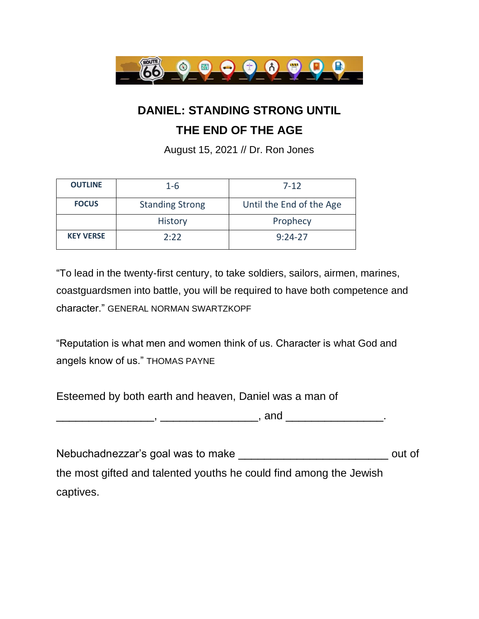

## **DANIEL: STANDING STRONG UNTIL**

## **THE END OF THE AGE**

August 15, 2021 // Dr. Ron Jones

| <b>OUTLINE</b>   | $1 - 6$                | $7 - 12$                 |
|------------------|------------------------|--------------------------|
| <b>FOCUS</b>     | <b>Standing Strong</b> | Until the End of the Age |
|                  | <b>History</b>         | Prophecy                 |
| <b>KEY VERSE</b> | 2:22                   | $9:24-27$                |

"To lead in the twenty-first century, to take soldiers, sailors, airmen, marines, coastguardsmen into battle, you will be required to have both competence and character." GENERAL NORMAN SWARTZKOPF

"Reputation is what men and women think of us. Character is what God and angels know of us." THOMAS PAYNE

Esteemed by both earth and heaven, Daniel was a man of

 $\Box$ ,  $\Box$ ,  $\Box$ ,  $\Box$ 

Nebuchadnezzar's goal was to make \_\_\_\_\_\_\_\_\_\_\_\_\_\_\_\_\_\_\_\_\_\_\_\_\_\_\_\_\_\_\_\_ out of the most gifted and talented youths he could find among the Jewish captives.